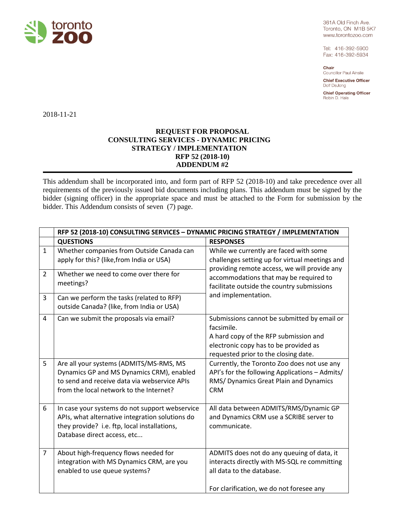

361A Old Finch Ave. Toronto, ON M1B 5K7 www.torontozoo.com

Tel: 416-392-5900 Fax: 416-392-5934

Chair Councillor Paul Ainslie

**Chief Executive Officer** Dolf DeJong

**Chief Operating Officer** Robin D. Hale

2018-11-21

#### **REQUEST FOR PROPOSAL CONSULTING SERVICES - DYNAMIC PRICING STRATEGY / IMPLEMENTATION RFP 52 (2018-10) ADDENDUM #2**

This addendum shall be incorporated into, and form part of RFP 52 (2018-10) and take precedence over all requirements of the previously issued bid documents including plans. This addendum must be signed by the bidder (signing officer) in the appropriate space and must be attached to the Form for submission by the bidder. This Addendum consists of seven (7) page.

|                | RFP 52 (2018-10) CONSULTING SERVICES - DYNAMIC PRICING STRATEGY / IMPLEMENTATION                                                                                                 |                                                                                                                                                                                                                                                         |  |
|----------------|----------------------------------------------------------------------------------------------------------------------------------------------------------------------------------|---------------------------------------------------------------------------------------------------------------------------------------------------------------------------------------------------------------------------------------------------------|--|
|                | <b>QUESTIONS</b>                                                                                                                                                                 | <b>RESPONSES</b>                                                                                                                                                                                                                                        |  |
| $\mathbf{1}$   | Whether companies from Outside Canada can<br>apply for this? (like, from India or USA)                                                                                           | While we currently are faced with some<br>challenges setting up for virtual meetings and<br>providing remote access, we will provide any<br>accommodations that may be required to<br>facilitate outside the country submissions<br>and implementation. |  |
| $\overline{2}$ | Whether we need to come over there for<br>meetings?                                                                                                                              |                                                                                                                                                                                                                                                         |  |
| $\overline{3}$ | Can we perform the tasks (related to RFP)<br>outside Canada? (like, from India or USA)                                                                                           |                                                                                                                                                                                                                                                         |  |
| 4              | Can we submit the proposals via email?                                                                                                                                           | Submissions cannot be submitted by email or<br>facsimile.<br>A hard copy of the RFP submission and<br>electronic copy has to be provided as<br>requested prior to the closing date.                                                                     |  |
| 5              | Are all your systems (ADMITS/MS-RMS, MS<br>Dynamics GP and MS Dynamics CRM), enabled<br>to send and receive data via webservice APIs<br>from the local network to the Internet?  | Currently, the Toronto Zoo does not use any<br>API's for the following Applications - Admits/<br>RMS/ Dynamics Great Plain and Dynamics<br><b>CRM</b>                                                                                                   |  |
| 6              | In case your systems do not support webservice<br>APIs, what alternative integration solutions do<br>they provide? i.e. ftp, local installations,<br>Database direct access, etc | All data between ADMITS/RMS/Dynamic GP<br>and Dynamics CRM use a SCRIBE server to<br>communicate.                                                                                                                                                       |  |
| $\overline{7}$ | About high-frequency flows needed for<br>integration with MS Dynamics CRM, are you<br>enabled to use queue systems?                                                              | ADMITS does not do any queuing of data, it<br>interacts directly with MS-SQL re committing<br>all data to the database.<br>For clarification, we do not foresee any                                                                                     |  |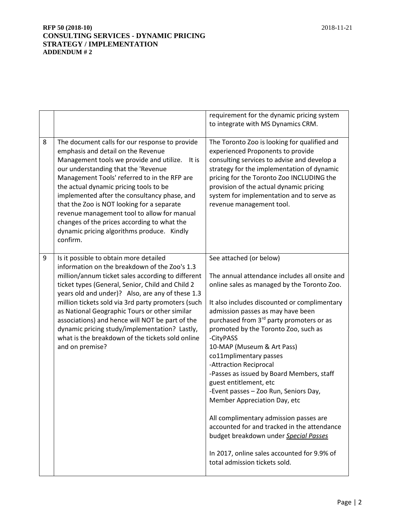|   |                                                                                                                                                                                                                                                                                                                                                                                                                                                                                                                                        | requirement for the dynamic pricing system                                                                                                                                                                                                                                                                                                                                                                                                                                                                                                                                                                                                                                                                                                                                    |
|---|----------------------------------------------------------------------------------------------------------------------------------------------------------------------------------------------------------------------------------------------------------------------------------------------------------------------------------------------------------------------------------------------------------------------------------------------------------------------------------------------------------------------------------------|-------------------------------------------------------------------------------------------------------------------------------------------------------------------------------------------------------------------------------------------------------------------------------------------------------------------------------------------------------------------------------------------------------------------------------------------------------------------------------------------------------------------------------------------------------------------------------------------------------------------------------------------------------------------------------------------------------------------------------------------------------------------------------|
|   |                                                                                                                                                                                                                                                                                                                                                                                                                                                                                                                                        | to integrate with MS Dynamics CRM.                                                                                                                                                                                                                                                                                                                                                                                                                                                                                                                                                                                                                                                                                                                                            |
| 8 | The document calls for our response to provide<br>emphasis and detail on the Revenue<br>Management tools we provide and utilize.<br>It is<br>our understanding that the 'Revenue<br>Management Tools' referred to in the RFP are<br>the actual dynamic pricing tools to be<br>implemented after the consultancy phase, and<br>that the Zoo is NOT looking for a separate<br>revenue management tool to allow for manual<br>changes of the prices according to what the<br>dynamic pricing algorithms produce. Kindly<br>confirm.       | The Toronto Zoo is looking for qualified and<br>experienced Proponents to provide<br>consulting services to advise and develop a<br>strategy for the implementation of dynamic<br>pricing for the Toronto Zoo INCLUDING the<br>provision of the actual dynamic pricing<br>system for implementation and to serve as<br>revenue management tool.                                                                                                                                                                                                                                                                                                                                                                                                                               |
| 9 | Is it possible to obtain more detailed<br>information on the breakdown of the Zoo's 1.3<br>million/annum ticket sales according to different<br>ticket types (General, Senior, Child and Child 2<br>years old and under)? Also, are any of these 1.3<br>million tickets sold via 3rd party promoters (such<br>as National Geographic Tours or other similar<br>associations) and hence will NOT be part of the<br>dynamic pricing study/implementation? Lastly,<br>what is the breakdown of the tickets sold online<br>and on premise? | See attached (or below)<br>The annual attendance includes all onsite and<br>online sales as managed by the Toronto Zoo.<br>It also includes discounted or complimentary<br>admission passes as may have been<br>purchased from 3 <sup>rd</sup> party promoters or as<br>promoted by the Toronto Zoo, such as<br>-CityPASS<br>10-MAP (Museum & Art Pass)<br>co11mplimentary passes<br>-Attraction Reciprocal<br>-Passes as issued by Board Members, staff<br>guest entitlement, etc<br>-Event passes - Zoo Run, Seniors Day,<br>Member Appreciation Day, etc<br>All complimentary admission passes are<br>accounted for and tracked in the attendance<br>budget breakdown under Special Passes<br>In 2017, online sales accounted for 9.9% of<br>total admission tickets sold. |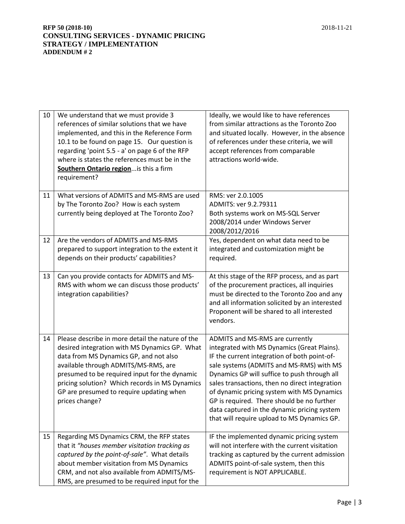| 10 | We understand that we must provide 3<br>references of similar solutions that we have<br>implemented, and this in the Reference Form<br>10.1 to be found on page 15. Our question is<br>regarding 'point 5.5 - a' on page 6 of the RFP<br>where is states the references must be in the<br>Southern Ontario region is this a firm<br>requirement?     | Ideally, we would like to have references<br>from similar attractions as the Toronto Zoo<br>and situated locally. However, in the absence<br>of references under these criteria, we will<br>accept references from comparable<br>attractions world-wide.                                                                                                                                                                                                               |
|----|------------------------------------------------------------------------------------------------------------------------------------------------------------------------------------------------------------------------------------------------------------------------------------------------------------------------------------------------------|------------------------------------------------------------------------------------------------------------------------------------------------------------------------------------------------------------------------------------------------------------------------------------------------------------------------------------------------------------------------------------------------------------------------------------------------------------------------|
| 11 | What versions of ADMITS and MS-RMS are used<br>by The Toronto Zoo? How is each system<br>currently being deployed at The Toronto Zoo?                                                                                                                                                                                                                | RMS: ver 2.0.1005<br>ADMITS: ver 9.2.79311<br>Both systems work on MS-SQL Server<br>2008/2014 under Windows Server<br>2008/2012/2016                                                                                                                                                                                                                                                                                                                                   |
| 12 | Are the vendors of ADMITS and MS-RMS<br>prepared to support integration to the extent it<br>depends on their products' capabilities?                                                                                                                                                                                                                 | Yes, dependent on what data need to be<br>integrated and customization might be<br>required.                                                                                                                                                                                                                                                                                                                                                                           |
| 13 | Can you provide contacts for ADMITS and MS-<br>RMS with whom we can discuss those products'<br>integration capabilities?                                                                                                                                                                                                                             | At this stage of the RFP process, and as part<br>of the procurement practices, all inquiries<br>must be directed to the Toronto Zoo and any<br>and all information solicited by an interested<br>Proponent will be shared to all interested<br>vendors.                                                                                                                                                                                                                |
| 14 | Please describe in more detail the nature of the<br>desired integration with MS Dynamics GP. What<br>data from MS Dynamics GP, and not also<br>available through ADMITS/MS-RMS, are<br>presumed to be required input for the dynamic<br>pricing solution? Which records in MS Dynamics<br>GP are presumed to require updating when<br>prices change? | ADMITS and MS-RMS are currently<br>integrated with MS Dynamics (Great Plains).<br>IF the current integration of both point-of-<br>sale systems (ADMITS and MS-RMS) with MS<br>Dynamics GP will suffice to push through all<br>sales transactions, then no direct integration<br>of dynamic pricing system with MS Dynamics<br>GP is required. There should be no further<br>data captured in the dynamic pricing system<br>that will require upload to MS Dynamics GP. |
| 15 | Regarding MS Dynamics CRM, the RFP states<br>that it "houses member visitation tracking as<br>captured by the point-of-sale". What details<br>about member visitation from MS Dynamics<br>CRM, and not also available from ADMITS/MS-<br>RMS, are presumed to be required input for the                                                              | IF the implemented dynamic pricing system<br>will not interfere with the current visitation<br>tracking as captured by the current admission<br>ADMITS point-of-sale system, then this<br>requirement is NOT APPLICABLE.                                                                                                                                                                                                                                               |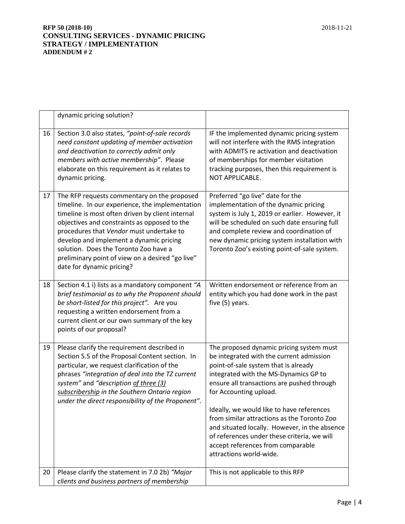|    | dynamic pricing solution?                                                                                                                                                                                                                                                                                                                                                                                           |                                                                                                                                                                                                                                                                                                                                                                                                                                                                                                           |
|----|---------------------------------------------------------------------------------------------------------------------------------------------------------------------------------------------------------------------------------------------------------------------------------------------------------------------------------------------------------------------------------------------------------------------|-----------------------------------------------------------------------------------------------------------------------------------------------------------------------------------------------------------------------------------------------------------------------------------------------------------------------------------------------------------------------------------------------------------------------------------------------------------------------------------------------------------|
| 16 | Section 3.0 also states, "point-of-sale records<br>need constant updating of member activation<br>and deactivation to correctly admit only<br>members with active membership". Please<br>elaborate on this requirement as it relates to<br>dynamic pricing.                                                                                                                                                         | IF the implemented dynamic pricing system<br>will not interfere with the RMS integration<br>with ADMITS re activation and deactivation<br>of memberships for member visitation<br>tracking purposes, then this requirement is<br>NOT APPLICABLE.                                                                                                                                                                                                                                                          |
| 17 | The RFP requests commentary on the proposed<br>timeline. In our experience, the implementation<br>timeline is most often driven by client internal<br>objectives and constraints as opposed to the<br>procedures that Vendor must undertake to<br>develop and implement a dynamic pricing<br>solution. Does the Toronto Zoo have a<br>preliminary point of view on a desired "go live"<br>date for dynamic pricing? | Preferred "go live" date for the<br>implementation of the dynamic pricing<br>system is July 1, 2019 or earlier. However, it<br>will be scheduled on such date ensuring full<br>and complete review and coordination of<br>new dynamic pricing system installation with<br>Toronto Zoo's existing point-of-sale system.                                                                                                                                                                                    |
| 18 | Section 4.1 i) lists as a mandatory component "A<br>brief testimonial as to why the Proponent should<br>be short-listed for this project". Are you<br>requesting a written endorsement from a<br>current client or our own summary of the key<br>points of our proposal?                                                                                                                                            | Written endorsement or reference from an<br>entity which you had done work in the past<br>five (5) years.                                                                                                                                                                                                                                                                                                                                                                                                 |
| 19 | Please clarify the requirement described in<br>Section 5.5 of the Proposal Content section. In<br>particular, we request clarification of the<br>phrases "integration of deal into the TZ current<br>system" and "description of three (3)<br>subscribership in the Southern Ontario region<br>under the direct responsibility of the Proponent".                                                                   | The proposed dynamic pricing system must<br>be integrated with the current admission<br>point-of-sale system that is already<br>integrated with the MS-Dynamics GP to<br>ensure all transactions are pushed through<br>for Accounting upload.<br>Ideally, we would like to have references<br>from similar attractions as the Toronto Zoo<br>and situated locally. However, in the absence<br>of references under these criteria, we will<br>accept references from comparable<br>attractions world-wide. |
| 20 | Please clarify the statement in 7.0 2b) "Major<br>clients and business partners of membership                                                                                                                                                                                                                                                                                                                       | This is not applicable to this RFP                                                                                                                                                                                                                                                                                                                                                                                                                                                                        |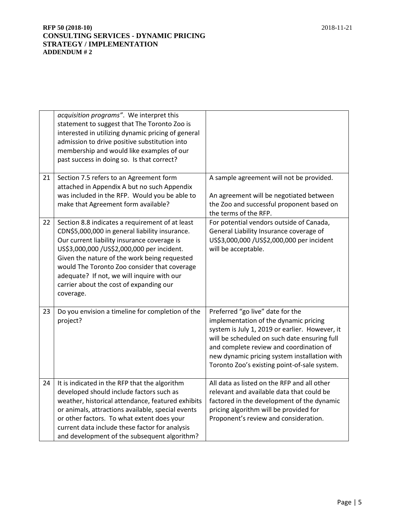|    | acquisition programs". We interpret this<br>statement to suggest that The Toronto Zoo is<br>interested in utilizing dynamic pricing of general<br>admission to drive positive substitution into<br>membership and would like examples of our<br>past success in doing so. Is that correct?                                                                                                           |                                                                                                                                                                                                                                                                                                                        |
|----|------------------------------------------------------------------------------------------------------------------------------------------------------------------------------------------------------------------------------------------------------------------------------------------------------------------------------------------------------------------------------------------------------|------------------------------------------------------------------------------------------------------------------------------------------------------------------------------------------------------------------------------------------------------------------------------------------------------------------------|
| 21 | Section 7.5 refers to an Agreement form<br>attached in Appendix A but no such Appendix<br>was included in the RFP. Would you be able to<br>make that Agreement form available?                                                                                                                                                                                                                       | A sample agreement will not be provided.<br>An agreement will be negotiated between<br>the Zoo and successful proponent based on<br>the terms of the RFP.                                                                                                                                                              |
| 22 | Section 8.8 indicates a requirement of at least<br>CDN\$5,000,000 in general liability insurance.<br>Our current liability insurance coverage is<br>US\$3,000,000 /US\$2,000,000 per incident.<br>Given the nature of the work being requested<br>would The Toronto Zoo consider that coverage<br>adequate? If not, we will inquire with our<br>carrier about the cost of expanding our<br>coverage. | For potential vendors outside of Canada,<br>General Liability Insurance coverage of<br>US\$3,000,000 /US\$2,000,000 per incident<br>will be acceptable.                                                                                                                                                                |
| 23 | Do you envision a timeline for completion of the<br>project?                                                                                                                                                                                                                                                                                                                                         | Preferred "go live" date for the<br>implementation of the dynamic pricing<br>system is July 1, 2019 or earlier. However, it<br>will be scheduled on such date ensuring full<br>and complete review and coordination of<br>new dynamic pricing system installation with<br>Toronto Zoo's existing point-of-sale system. |
| 24 | It is indicated in the RFP that the algorithm<br>developed should include factors such as<br>weather, historical attendance, featured exhibits<br>or animals, attractions available, special events<br>or other factors. To what extent does your<br>current data include these factor for analysis<br>and development of the subsequent algorithm?                                                  | All data as listed on the RFP and all other<br>relevant and available data that could be<br>factored in the development of the dynamic<br>pricing algorithm will be provided for<br>Proponent's review and consideration.                                                                                              |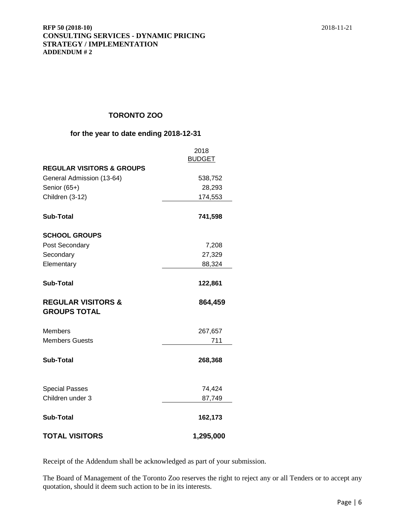# **TORONTO ZOO**

## **for the year to date ending 2018-12-31**

|                                                      | 2018          |
|------------------------------------------------------|---------------|
|                                                      | <b>BUDGET</b> |
| <b>REGULAR VISITORS &amp; GROUPS</b>                 |               |
| General Admission (13-64)                            | 538,752       |
| Senior (65+)                                         | 28,293        |
| Children (3-12)                                      | 174,553       |
| <b>Sub-Total</b>                                     | 741,598       |
| <b>SCHOOL GROUPS</b>                                 |               |
| Post Secondary                                       | 7,208         |
| Secondary                                            | 27,329        |
| Elementary                                           | 88,324        |
| <b>Sub-Total</b>                                     | 122,861       |
| <b>REGULAR VISITORS &amp;</b><br><b>GROUPS TOTAL</b> | 864,459       |
| <b>Members</b>                                       | 267,657       |
| <b>Members Guests</b>                                | 711           |
| <b>Sub-Total</b>                                     | 268,368       |
| <b>Special Passes</b>                                | 74,424        |
| Children under 3                                     | 87,749        |
| <b>Sub-Total</b>                                     | 162,173       |
| <b>TOTAL VISITORS</b>                                | 1,295,000     |

Receipt of the Addendum shall be acknowledged as part of your submission.

The Board of Management of the Toronto Zoo reserves the right to reject any or all Tenders or to accept any quotation, should it deem such action to be in its interests.